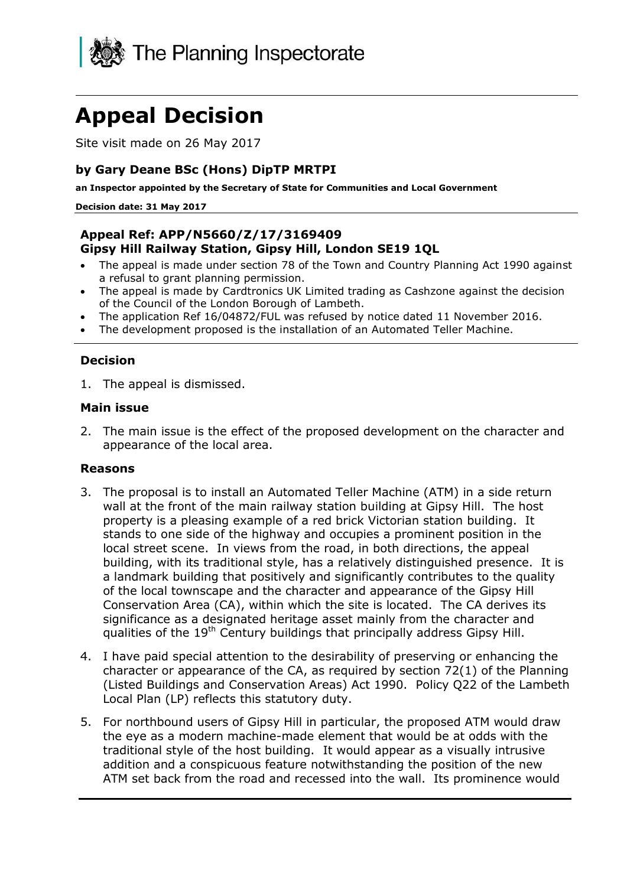

# **Appeal Decision**

Site visit made on 26 May 2017

# **by Gary Deane BSc (Hons) DipTP MRTPI**

**an Inspector appointed by the Secretary of State for Communities and Local Government**

#### **Decision date: 31 May 2017**

#### **Appeal Ref: APP/N5660/Z/17/3169409 Gipsy Hill Railway Station, Gipsy Hill, London SE19 1QL**

- The appeal is made under section 78 of the Town and Country Planning Act 1990 against a refusal to grant planning permission.
- The appeal is made by Cardtronics UK Limited trading as Cashzone against the decision of the Council of the London Borough of Lambeth.
- The application Ref 16/04872/FUL was refused by notice dated 11 November 2016.
- The development proposed is the installation of an Automated Teller Machine.

### **Decision**

1. The appeal is dismissed.

#### **Main issue**

2. The main issue is the effect of the proposed development on the character and appearance of the local area.

#### **Reasons**

- 3. The proposal is to install an Automated Teller Machine (ATM) in a side return wall at the front of the main railway station building at Gipsy Hill. The host property is a pleasing example of a red brick Victorian station building. It stands to one side of the highway and occupies a prominent position in the local street scene. In views from the road, in both directions, the appeal building, with its traditional style, has a relatively distinguished presence. It is a landmark building that positively and significantly contributes to the quality of the local townscape and the character and appearance of the Gipsy Hill Conservation Area (CA), within which the site is located. The CA derives its significance as a designated heritage asset mainly from the character and qualities of the 19<sup>th</sup> Century buildings that principally address Gipsy Hill.
- 4. I have paid special attention to the desirability of preserving or enhancing the character or appearance of the CA, as required by section 72(1) of the Planning (Listed Buildings and Conservation Areas) Act 1990. Policy Q22 of the Lambeth Local Plan (LP) reflects this statutory duty.
- 5. For northbound users of Gipsy Hill in particular, the proposed ATM would draw the eye as a modern machine-made element that would be at odds with the traditional style of the host building. It would appear as a visually intrusive addition and a conspicuous feature notwithstanding the position of the new ATM set back from the road and recessed into the wall. Its prominence would